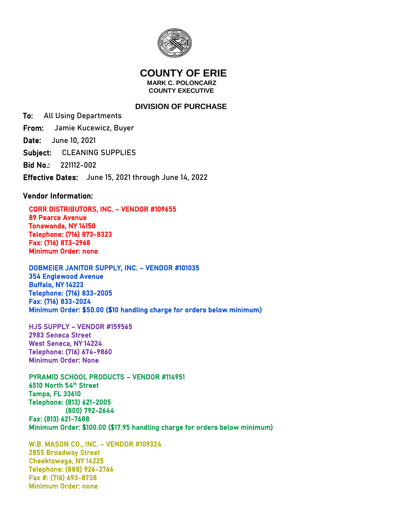

## **COUNTY OF ERIE MARK C. POLONCARZ COUNTY EXECUTIVE**

## **DIVISION OF PURCHASE**

To: All Using Departments From: Jamie Kucewicz, Buyer Date: June 10, 2021 Subject: CLEANING SUPPLIES Bid No.: 221112-002 Effective Dates: June 15, 2021 through June 14, 2022

## Vendor Information:

 CORR DISTRIBUTORS, INC. – VENDOR #109655 89 Pearce Avenue Tonawanda, NY 14150 Telephone: (716) 873-8323 Fax: (716) 873-2968 Minimum Order: none

 DOBMEIER JANITOR SUPPLY, INC. – VENDOR #101035 354 Englewood Avenue Buffalo, NY 14223 Telephone: (716) 833-2005 Fax: (716) 833-2024 Minimum Order: \$50.00 (\$10 handling charge for orders below minimum)

 HJS SUPPLY – VENDOR #159565 2983 Seneca Street West Seneca, NY 14224 Telephone: (716) 674-9860 Minimum Order: None

 PYRAMID SCHOOL PRODUCTS – VENDOR #114951 6510 North 54th Street Tampa, FL 33610 Telephone: (813) 621-2005 (800) 792-2644 Fax: (813) 621-7688 Minimum Order: \$100.00 (\$17.95 handling charge for orders below minimum)

 W.B. MASON CO., INC. – VENDOR #109324 2855 Broadway Street Cheektowaga, NY 14225 Telephone: (888) 926-2766 Fax #: (716) 693-8738 Minimum Order: none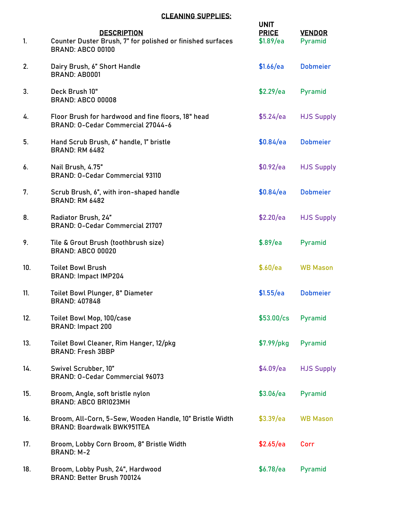## CLEANING SUPPLIES:

| 1.  | <b>DESCRIPTION</b><br>Counter Duster Brush, 7" for polished or finished surfaces<br><b>BRAND: ABCO 00100</b> | <b>UNIT</b><br><b>PRICE</b><br>\$1.89/ea | <b>VENDOR</b><br>Pyramid |
|-----|--------------------------------------------------------------------------------------------------------------|------------------------------------------|--------------------------|
| 2.  | Dairy Brush, 6" Short Handle<br>BRAND: AB0001                                                                | \$1.66/ea                                | <b>Dobmeier</b>          |
| 3.  | Deck Brush 10"<br><b>BRAND: ABCO 00008</b>                                                                   | \$2.29/ea                                | Pyramid                  |
| 4.  | Floor Brush for hardwood and fine floors, 18" head<br>BRAND: 0-Cedar Commercial 27044-6                      | \$5.24/ea                                | <b>HJS Supply</b>        |
| 5.  | Hand Scrub Brush, 6" handle, 1" bristle<br><b>BRAND: RM 6482</b>                                             | \$0.84/ea                                | <b>Dobmeier</b>          |
| 6.  | Nail Brush, 4.75"<br><b>BRAND: 0-Cedar Commercial 93110</b>                                                  | \$0.92/ea                                | <b>HJS Supply</b>        |
| 7.  | Scrub Brush, 6", with iron-shaped handle<br><b>BRAND: RM 6482</b>                                            | \$0.84/ea                                | <b>Dobmeier</b>          |
| 8.  | Radiator Brush, 24"<br><b>BRAND: 0-Cedar Commercial 21707</b>                                                | \$2.20/ea                                | <b>HJS Supply</b>        |
| 9.  | Tile & Grout Brush (toothbrush size)<br><b>BRAND: ABCO 00020</b>                                             | \$.89/ea                                 | Pyramid                  |
| 10. | <b>Toilet Bowl Brush</b><br><b>BRAND: Impact IMP204</b>                                                      | \$.60/ea                                 | <b>WB Mason</b>          |
| 11. | Toilet Bowl Plunger, 8" Diameter<br><b>BRAND: 407848</b>                                                     | \$1.55/ea                                | <b>Dobmeier</b>          |
| 12. | Toilet Bowl Mop, 100/case<br><b>BRAND: Impact 200</b>                                                        | \$53.00/cs                               | Pyramid                  |
| 13. | Toilet Bowl Cleaner, Rim Hanger, 12/pkg<br><b>BRAND: Fresh 3BBP</b>                                          | $$7.99/$ pkg                             | Pyramid                  |
| 14. | Swivel Scrubber, 10"<br>BRAND: 0-Cedar Commercial 96073                                                      | \$4.09/ea                                | <b>HJS Supply</b>        |
| 15. | Broom, Angle, soft bristle nylon<br><b>BRAND: ABCO BR1023MH</b>                                              | \$3.06/ea                                | Pyramid                  |
| 16. | Broom, All-Corn, 5-Sew, Wooden Handle, 10" Bristle Width<br><b>BRAND: Boardwalk BWK951TEA</b>                | \$3.39/ea                                | <b>WB Mason</b>          |
| 17. | Broom, Lobby Corn Broom, 8" Bristle Width<br><b>BRAND: M-2</b>                                               | \$2.65/ea                                | Corr                     |
| 18. | Broom, Lobby Push, 24", Hardwood<br>BRAND: Better Brush 700124                                               | \$6.78/ea                                | Pyramid                  |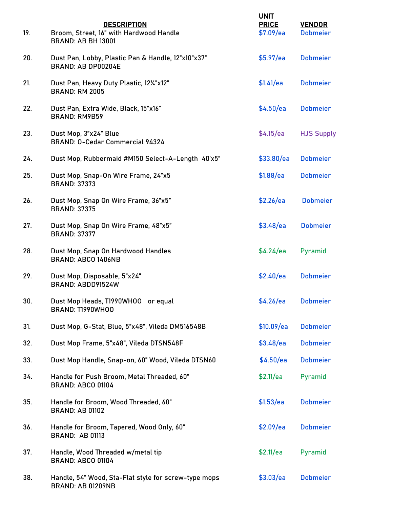| 19. | <b>DESCRIPTION</b><br>Broom, Street, 16" with Hardwood Handle<br><b>BRAND: AB BH 13001</b> | <b>UNIT</b><br><b>PRICE</b><br>\$7.09/ea | <b>VENDOR</b><br><b>Dobmeier</b> |
|-----|--------------------------------------------------------------------------------------------|------------------------------------------|----------------------------------|
| 20. | Dust Pan, Lobby, Plastic Pan & Handle, 12"x10"x37"<br>BRAND: AB DP00204E                   | \$5.97/ea                                | <b>Dobmeier</b>                  |
| 21. | Dust Pan, Heavy Duty Plastic, 121/2"x12"<br><b>BRAND: RM 2005</b>                          | \$1.41/ea                                | <b>Dobmeier</b>                  |
| 22. | Dust Pan, Extra Wide, Black, 15"x16"<br><b>BRAND: RM9B59</b>                               | \$4.50/ea                                | <b>Dobmeier</b>                  |
| 23. | Dust Mop, 3"x24" Blue<br>BRAND: 0-Cedar Commercial 94324                                   | \$4.15/ea                                | <b>HJS Supply</b>                |
| 24. | Dust Mop, Rubbermaid #M150 Select-A-Length 40'x5"                                          | \$33.80/ea                               | <b>Dobmeier</b>                  |
| 25. | Dust Mop, Snap-On Wire Frame, 24"x5<br><b>BRAND: 37373</b>                                 | \$1.88/ea                                | <b>Dobmeier</b>                  |
| 26. | Dust Mop, Snap On Wire Frame, 36"x5"<br><b>BRAND: 37375</b>                                | \$2.26/ea                                | <b>Dobmeier</b>                  |
| 27. | Dust Mop, Snap On Wire Frame, 48"x5"<br><b>BRAND: 37377</b>                                | \$3.48/ea                                | <b>Dobmeier</b>                  |
| 28. | Dust Mop, Snap On Hardwood Handles<br>BRAND: ABCO 1406NB                                   | \$4.24/ea                                | Pyramid                          |
| 29. | Dust Mop, Disposable, 5"x24"<br>BRAND: ABDD91524W                                          | \$2.40/ea                                | <b>Dobmeier</b>                  |
| 30. | Dust Mop Heads, T1990WHOO or equal<br>BRAND: T1990WHOO                                     | \$4.26/ea Dobmeier                       |                                  |
| 31. | Dust Mop, G-Stat, Blue, 5"x48", Vileda DM516548B                                           | \$10.09/ea                               | <b>Dobmeier</b>                  |
| 32. | Dust Mop Frame, 5"x48", Vileda DTSN548F                                                    | \$3.48/ea                                | <b>Dobmeier</b>                  |
| 33. | Dust Mop Handle, Snap-on, 60" Wood, Vileda DTSN60                                          | \$4.50/ea                                | <b>Dobmeier</b>                  |
| 34. | Handle for Push Broom, Metal Threaded, 60"<br><b>BRAND: ABCO 01104</b>                     | \$2.11/ea                                | Pyramid                          |
| 35. | Handle for Broom, Wood Threaded, 60"<br><b>BRAND: AB 01102</b>                             | \$1.53/ea                                | <b>Dobmeier</b>                  |
| 36. | Handle for Broom, Tapered, Wood Only, 60"<br><b>BRAND: AB 01113</b>                        | \$2.09/ea                                | <b>Dobmeier</b>                  |
| 37. | Handle, Wood Threaded w/metal tip<br><b>BRAND: ABCO 01104</b>                              | \$2.11/ea                                | Pyramid                          |
| 38. | Handle, 54" Wood, Sta-Flat style for screw-type mops<br><b>BRAND: AB 01209NB</b>           | \$3.03/ea                                | <b>Dobmeier</b>                  |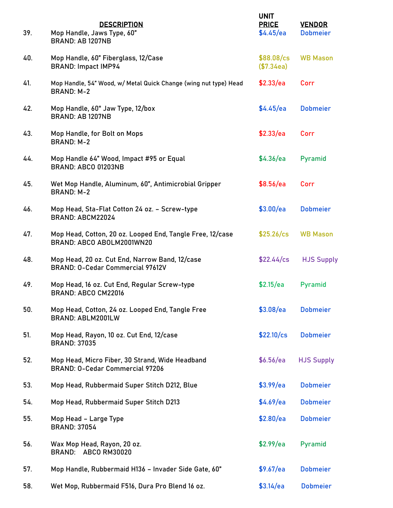| 39. | <b>DESCRIPTION</b><br>Mop Handle, Jaws Type, 60"<br><b>BRAND: AB 1207NB</b>            | <b>UNIT</b><br><b>PRICE</b><br>\$4.45/ea | <b>VENDOR</b><br><b>Dobmeier</b> |
|-----|----------------------------------------------------------------------------------------|------------------------------------------|----------------------------------|
| 40. | Mop Handle, 60" Fiberglass, 12/Case<br><b>BRAND: Impact IMP94</b>                      | \$88.08/cs<br>(\$7.34ea)                 | <b>WB Mason</b>                  |
| 41. | Mop Handle, 54" Wood, w/ Metal Quick Change (wing nut type) Head<br><b>BRAND: M-2</b>  | \$2.33/ea                                | Corr                             |
| 42. | Mop Handle, 60" Jaw Type, 12/box<br>BRAND: AB 1207NB                                   | \$4.45/ea                                | <b>Dobmeier</b>                  |
| 43. | Mop Handle, for Bolt on Mops<br><b>BRAND: M-2</b>                                      | \$2.33/ea                                | Corr                             |
| 44. | Mop Handle 64" Wood, Impact #95 or Equal<br>BRAND: ABCO 01203NB                        | \$4.36/ea                                | Pyramid                          |
| 45. | Wet Mop Handle, Aluminum, 60", Antimicrobial Gripper<br><b>BRAND: M-2</b>              | \$8.56/ea                                | Corr                             |
| 46. | Mop Head, Sta-Flat Cotton 24 oz. - Screw-type<br>BRAND: ABCM22024                      | \$3.00/ea                                | <b>Dobmeier</b>                  |
| 47. | Mop Head, Cotton, 20 oz. Looped End, Tangle Free, 12/case<br>BRAND: ABCO ABOLM2001WN20 | $$25.26/\text{cs}$                       | <b>WB Mason</b>                  |
| 48. | Mop Head, 20 oz. Cut End, Narrow Band, 12/case<br>BRAND: 0-Cedar Commercial 97612V     | $$22.44$ /cs                             | <b>HJS Supply</b>                |
| 49. | Mop Head, 16 oz. Cut End, Regular Screw-type<br>BRAND: ABCO CM22016                    | \$2.15/ea                                | Pyramid                          |
| 50. | Mop Head, Cotton, 24 oz. Looped End, Tangle Free<br><b>BRAND: ABLM2001LW</b>           | \$3.08/ea                                | <b>Dobmeier</b>                  |
| 51. | Mop Head, Rayon, 10 oz. Cut End, 12/case<br><b>BRAND: 37035</b>                        | $$22.10/\text{cs}$                       | <b>Dobmeier</b>                  |
| 52. | Mop Head, Micro Fiber, 30 Strand, Wide Headband<br>BRAND: 0-Cedar Commercial 97206     | \$6.56/ea                                | <b>HJS Supply</b>                |
| 53. | Mop Head, Rubbermaid Super Stitch D212, Blue                                           | \$3.99/ea                                | <b>Dobmeier</b>                  |
| 54. | Mop Head, Rubbermaid Super Stitch D213                                                 | \$4.69/ea                                | <b>Dobmeier</b>                  |
| 55. | Mop Head - Large Type<br><b>BRAND: 37054</b>                                           | \$2.80/ea                                | <b>Dobmeier</b>                  |
| 56. | Wax Mop Head, Rayon, 20 oz.<br>BRAND: ABCO RM30020                                     | \$2.99/ea                                | Pyramid                          |
| 57. | Mop Handle, Rubbermaid H136 - Invader Side Gate, 60"                                   | \$9.67/ea                                | <b>Dobmeier</b>                  |
| 58. | Wet Mop, Rubbermaid F516, Dura Pro Blend 16 oz.                                        | \$3.14/ea                                | <b>Dobmeier</b>                  |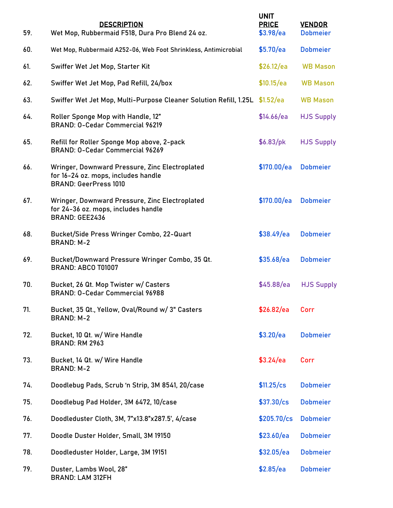| 59. | <b>DESCRIPTION</b><br>Wet Mop, Rubbermaid F518, Dura Pro Blend 24 oz.                                                 | <b>UNIT</b><br><b>PRICE</b><br>\$3.98/ea | <b>VENDOR</b><br><b>Dobmeier</b> |
|-----|-----------------------------------------------------------------------------------------------------------------------|------------------------------------------|----------------------------------|
| 60. | Wet Mop, Rubbermaid A252-06, Web Foot Shrinkless, Antimicrobial                                                       | \$5.70/ea                                | <b>Dobmeier</b>                  |
| 61. | Swiffer Wet Jet Mop, Starter Kit                                                                                      | \$26.12/ea                               | <b>WB Mason</b>                  |
| 62. | Swiffer Wet Jet Mop, Pad Refill, 24/box                                                                               | \$10.15/ea                               | <b>WB Mason</b>                  |
| 63. | Swiffer Wet Jet Mop, Multi-Purpose Cleaner Solution Refill, 1.25L \$1.52/ea                                           |                                          | <b>WB Mason</b>                  |
| 64. | Roller Sponge Mop with Handle, 12"<br><b>BRAND: O-Cedar Commercial 96219</b>                                          | \$14.66/ea                               | <b>HJS Supply</b>                |
| 65. | Refill for Roller Sponge Mop above, 2-pack<br>BRAND: 0-Cedar Commercial 96269                                         | \$6.83/pk                                | <b>HJS Supply</b>                |
| 66. | Wringer, Downward Pressure, Zinc Electroplated<br>for 16-24 oz. mops, includes handle<br><b>BRAND: GeerPress 1010</b> | \$170.00/ea                              | <b>Dobmeier</b>                  |
| 67. | Wringer, Downward Pressure, Zinc Electroplated<br>for 24-36 oz. mops, includes handle<br><b>BRAND: GEE2436</b>        | \$170.00/ea                              | <b>Dobmeier</b>                  |
| 68. | Bucket/Side Press Wringer Combo, 22-Quart<br><b>BRAND: M-2</b>                                                        | \$38.49/ea                               | <b>Dobmeier</b>                  |
| 69. | Bucket/Downward Pressure Wringer Combo, 35 Qt.<br>BRAND: ABCO T01007                                                  | \$35.68/ea                               | <b>Dobmeier</b>                  |
| 70. | Bucket, 26 Qt. Mop Twister w/ Casters<br>BRAND: 0-Cedar Commercial 96988                                              | \$45.88/ea                               | <b>HJS Supply</b>                |
| 71. | Bucket, 35 Qt., Yellow, Oval/Round w/ 3" Casters<br><b>BRAND: M-2</b>                                                 | \$26.82/ea                               | Corr                             |
| 72. | Bucket, 10 Qt. w/ Wire Handle<br><b>BRAND: RM 2963</b>                                                                | \$3.20/ea                                | <b>Dobmeier</b>                  |
| 73. | Bucket, 14 Qt. w/ Wire Handle<br><b>BRAND: M-2</b>                                                                    | \$3.24/ea                                | Corr                             |
| 74. | Doodlebug Pads, Scrub 'n Strip, 3M 8541, 20/case                                                                      | \$11.25/cs                               | <b>Dobmeier</b>                  |
| 75. | Doodlebug Pad Holder, 3M 6472, 10/case                                                                                | \$37.30/cs                               | <b>Dobmeier</b>                  |
| 76. | Doodleduster Cloth, 3M, 7"x13.8"x287.5', 4/case                                                                       | \$205.70/cs                              | <b>Dobmeier</b>                  |
| 77. | Doodle Duster Holder, Small, 3M 19150                                                                                 | \$23.60/ea                               | <b>Dobmeier</b>                  |
| 78. | Doodleduster Holder, Large, 3M 19151                                                                                  | \$32.05/ea                               | <b>Dobmeier</b>                  |
| 79. | Duster, Lambs Wool, 28"<br><b>BRAND: LAM 312FH</b>                                                                    | \$2.85/ea                                | <b>Dobmeier</b>                  |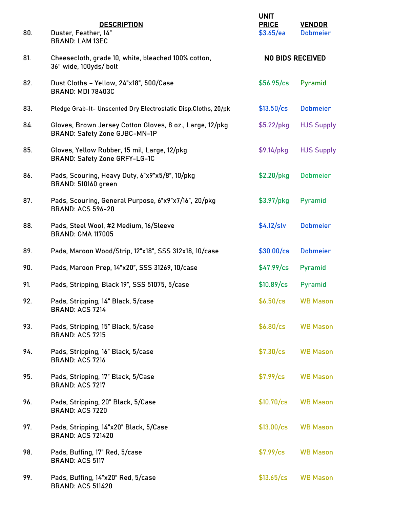| 80. | <b>DESCRIPTION</b><br>Duster, Feather, 14"<br><b>BRAND: LAM 13EC</b>                             | <b>UNIT</b><br><b>PRICE</b><br>\$3.65/ea | <b>VENDOR</b><br><b>Dobmeier</b> |
|-----|--------------------------------------------------------------------------------------------------|------------------------------------------|----------------------------------|
| 81. | Cheesecloth, grade 10, white, bleached 100% cotton,<br>36" wide, 100yds/ bolt                    | <b>NO BIDS RECEIVED</b>                  |                                  |
| 82. | Dust Cloths - Yellow, 24"x18", 500/Case<br><b>BRAND: MDI 78403C</b>                              | \$56.95/cs                               | Pyramid                          |
| 83. | Pledge Grab-It- Unscented Dry Electrostatic Disp.Cloths, 20/pk                                   | \$13.50/cs                               | <b>Dobmeier</b>                  |
| 84. | Gloves, Brown Jersey Cotton Gloves, 8 oz., Large, 12/pkg<br><b>BRAND: Safety Zone GJBC-MN-1P</b> | $$5.22/$ pkg                             | <b>HJS Supply</b>                |
| 85. | Gloves, Yellow Rubber, 15 mil, Large, 12/pkg<br><b>BRAND: Safety Zone GRFY-LG-1C</b>             | $$9.14$ /pkg                             | <b>HJS Supply</b>                |
| 86. | Pads, Scouring, Heavy Duty, 6"x9"x5/8", 10/pkg<br><b>BRAND: 510160 green</b>                     | $$2.20/$ pkg                             | <b>Dobmeier</b>                  |
| 87. | Pads, Scouring, General Purpose, 6"x9"x7/16", 20/pkg<br><b>BRAND: ACS 596-20</b>                 | $$3.97/$ pkg                             | Pyramid                          |
| 88. | Pads, Steel Wool, #2 Medium, 16/Sleeve<br><b>BRAND: GMA 117005</b>                               | \$4.12/slv                               | <b>Dobmeier</b>                  |
| 89. | Pads, Maroon Wood/Strip, 12"x18", SSS 312x18, 10/case                                            | \$30.00/cs                               | <b>Dobmeier</b>                  |
| 90. | Pads, Maroon Prep, 14"x20", SSS 31269, 10/case                                                   | \$47.99/cs                               | Pyramid                          |
| 91. | Pads, Stripping, Black 19", SSS 51075, 5/case                                                    | \$10.89/cs                               | Pyramid                          |
| 92. | Pads, Stripping, 14" Black, 5/case<br><b>BRAND: ACS 7214</b>                                     | \$6.50/cs                                | <b>WB Mason</b>                  |
| 93. | Pads, Stripping, 15" Black, 5/case<br><b>BRAND: ACS 7215</b>                                     | \$6.80/cs                                | <b>WB Mason</b>                  |
| 94. | Pads, Stripping, 16" Black, 5/case<br><b>BRAND: ACS 7216</b>                                     | \$7.30/cs                                | <b>WB Mason</b>                  |
| 95. | Pads, Stripping, 17" Black, 5/Case<br><b>BRAND: ACS 7217</b>                                     | \$7.99/cs                                | <b>WB Mason</b>                  |
| 96. | Pads, Stripping, 20" Black, 5/Case<br><b>BRAND: ACS 7220</b>                                     | \$10.70/cs                               | <b>WB Mason</b>                  |
| 97. | Pads, Stripping, 14"x20" Black, 5/Case<br><b>BRAND: ACS 721420</b>                               | \$13.00/cs                               | <b>WB Mason</b>                  |
| 98. | Pads, Buffing, 17" Red, 5/case<br><b>BRAND: ACS 5117</b>                                         | \$7.99/cs                                | <b>WB Mason</b>                  |
| 99. | Pads, Buffing, 14"x20" Red, 5/case<br><b>BRAND: ACS 511420</b>                                   | \$13.65/cs                               | <b>WB Mason</b>                  |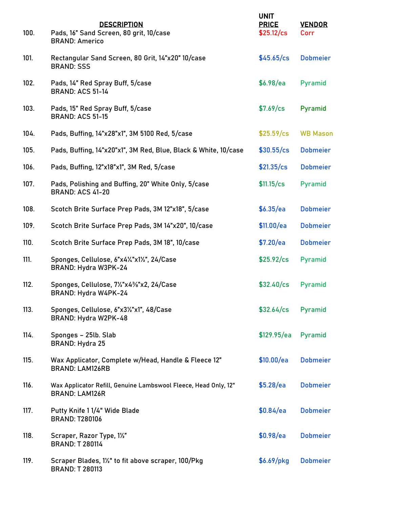| 100. | <b>DESCRIPTION</b><br>Pads, 16" Sand Screen, 80 grit, 10/case<br><b>BRAND: Americo</b>   | <b>UNIT</b><br><b>PRICE</b><br>\$25.12/cs | <b>VENDOR</b><br>Corr |
|------|------------------------------------------------------------------------------------------|-------------------------------------------|-----------------------|
| 101. | Rectangular Sand Screen, 80 Grit, 14"x20" 10/case<br><b>BRAND: SSS</b>                   | \$45.65/cs                                | <b>Dobmeier</b>       |
| 102. | Pads, 14" Red Spray Buff, 5/case<br><b>BRAND: ACS 51-14</b>                              | \$6.98/ea                                 | Pyramid               |
| 103. | Pads, 15" Red Spray Buff, 5/case<br><b>BRAND: ACS 51-15</b>                              | \$7.69/cs                                 | Pyramid               |
| 104. | Pads, Buffing, 14"x28"x1", 3M 5100 Red, 5/case                                           | \$25.59/cs                                | <b>WB Mason</b>       |
| 105. | Pads, Buffing, 14"x20"x1", 3M Red, Blue, Black & White, 10/case                          | \$30.55/cs                                | <b>Dobmeier</b>       |
| 106. | Pads, Buffing, 12"x18"x1", 3M Red, 5/case                                                | \$21.35/cs                                | <b>Dobmeier</b>       |
| 107. | Pads, Polishing and Buffing, 20" White Only, 5/case<br><b>BRAND: ACS 41-20</b>           | \$11.15/cs                                | Pyramid               |
| 108. | Scotch Brite Surface Prep Pads, 3M 12"x18", 5/case                                       | \$6.35/ea                                 | <b>Dobmeier</b>       |
| 109. | Scotch Brite Surface Prep Pads, 3M 14"x20", 10/case                                      | \$11.00/ea                                | <b>Dobmeier</b>       |
| 110. | Scotch Brite Surface Prep Pads, 3M 18", 10/case                                          | \$7.20/ea                                 | <b>Dobmeier</b>       |
| 111. | Sponges, Cellulose, 6"x41/2"x11/2", 24/Case<br>BRAND: Hydra W3PK-24                      | \$25.92/cs                                | Pyramid               |
| 112. | Sponges, Cellulose, 71/2"x43/8"x2, 24/Case<br>BRAND: Hydra W4PK-24                       | $$32.40$ /cs                              | Pyramid               |
| 113. | Sponges, Cellulose, 6"x31/2"x1", 48/Case<br>BRAND: Hydra W2PK-48                         | \$32.64/cs                                | Pyramid               |
| 114. | Sponges - 25lb. Slab<br>BRAND: Hydra 25                                                  | \$129.95/ea                               | Pyramid               |
| 115. | Wax Applicator, Complete w/Head, Handle & Fleece 12"<br><b>BRAND: LAM126RB</b>           | \$10.00/ea                                | <b>Dobmeier</b>       |
| 116. | Wax Applicator Refill, Genuine Lambswool Fleece, Head Only, 12"<br><b>BRAND: LAM126R</b> | \$5.28/ea                                 | <b>Dobmeier</b>       |
| 117. | Putty Knife 11/4" Wide Blade<br><b>BRAND: T280106</b>                                    | \$0.84/ea                                 | <b>Dobmeier</b>       |
| 118. | Scraper, Razor Type, 11/2"<br><b>BRAND: T 280114</b>                                     | \$0.98/ea                                 | <b>Dobmeier</b>       |
| 119. | Scraper Blades, 1 <sup>1/2</sup> to fit above scraper, 100/Pkg<br><b>BRAND: T 280113</b> | $$6.69/$ pkg                              | <b>Dobmeier</b>       |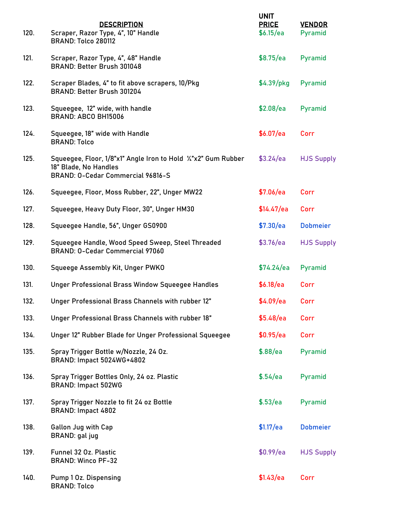| 120. | <b>DESCRIPTION</b><br>Scraper, Razor Type, 4", 10" Handle<br>BRAND: Tolco 280112                                            | <b>UNIT</b><br><b>PRICE</b><br>\$6.15/ea | <b>VENDOR</b><br>Pyramid |
|------|-----------------------------------------------------------------------------------------------------------------------------|------------------------------------------|--------------------------|
| 121. | Scraper, Razor Type, 4", 48" Handle<br>BRAND: Better Brush 301048                                                           | \$8.75/ea                                | Pyramid                  |
| 122. | Scraper Blades, 4" to fit above scrapers, 10/Pkg<br>BRAND: Better Brush 301204                                              | $$4.39/$ pkg                             | Pyramid                  |
| 123. | Squeegee, 12" wide, with handle<br>BRAND: ABCO BH15006                                                                      | \$2.08/ea                                | Pyramid                  |
| 124. | Squeegee, 18" wide with Handle<br><b>BRAND: Tolco</b>                                                                       | \$6.07/ea                                | Corr                     |
| 125. | Squeegee, Floor, 1/8"x1" Angle Iron to Hold '/"x2" Gum Rubber<br>18" Blade, No Handles<br>BRAND: 0-Cedar Commercial 96816-S | \$3.24/ea                                | <b>HJS Supply</b>        |
| 126. | Squeegee, Floor, Moss Rubber, 22", Unger MW22                                                                               | \$7.06/ea                                | Corr                     |
| 127. | Squeegee, Heavy Duty Floor, 30", Unger HM30                                                                                 | \$14.47/ea                               | Corr                     |
| 128. | Squeegee Handle, 56", Unger GS0900                                                                                          | \$7.30/ea                                | <b>Dobmeier</b>          |
| 129. | Squeegee Handle, Wood Speed Sweep, Steel Threaded<br>BRAND: 0-Cedar Commercial 97060                                        | \$3.76/ea                                | <b>HJS Supply</b>        |
| 130. | Squeege Assembly Kit, Unger PWKO                                                                                            | \$74.24/ea                               | Pyramid                  |
| 131. | Unger Professional Brass Window Squeegee Handles                                                                            | \$6.18/ea                                | Corr                     |
| 132. | Unger Professional Brass Channels with rubber 12"                                                                           | \$4.09/ea                                | Corr                     |
| 133. | Unger Professional Brass Channels with rubber 18"                                                                           | \$5.48/ea                                | Corr                     |
| 134. | Unger 12" Rubber Blade for Unger Professional Squeegee                                                                      | \$0.95/ea                                | Corr                     |
| 135. | Spray Trigger Bottle w/Nozzle, 24 Oz.<br>BRAND: Impact 5024WG+4802                                                          | \$.88/ea                                 | Pyramid                  |
| 136. | Spray Trigger Bottles Only, 24 oz. Plastic<br><b>BRAND: Impact 502WG</b>                                                    | \$.54/ea                                 | Pyramid                  |
| 137. | Spray Trigger Nozzle to fit 24 oz Bottle<br>BRAND: Impact 4802                                                              | \$.53/ea                                 | Pyramid                  |
| 138. | <b>Gallon Jug with Cap</b><br>BRAND: gal jug                                                                                | \$1.17/ea                                | <b>Dobmeier</b>          |
| 139. | Funnel 32 Oz. Plastic<br><b>BRAND: Winco PF-32</b>                                                                          | \$0.99/ea                                | <b>HJS Supply</b>        |
| 140. | <b>Pump 1 Oz. Dispensing</b><br><b>BRAND: Tolco</b>                                                                         | \$1.43/ea                                | Corr                     |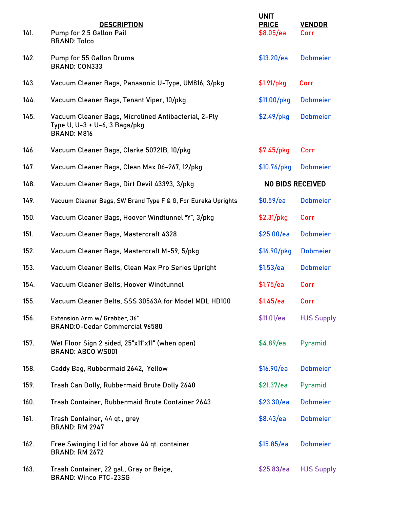| 141. | <b>DESCRIPTION</b><br>Pump for 2.5 Gallon Pail<br><b>BRAND: Tolco</b>                                       | <b>UNIT</b><br><b>PRICE</b><br>\$8.05/ea | <b>VENDOR</b><br>Corr |
|------|-------------------------------------------------------------------------------------------------------------|------------------------------------------|-----------------------|
| 142. | Pump for 55 Gallon Drums<br><b>BRAND: CON333</b>                                                            | \$13.20/ea                               | <b>Dobmeier</b>       |
| 143. | Vacuum Cleaner Bags, Panasonic U-Type, UM816, 3/pkg                                                         | $$1.91/$ pkg                             | Corr                  |
| 144. | Vacuum Cleaner Bags, Tenant Viper, 10/pkg                                                                   | \$11.00/pkg                              | <b>Dobmeier</b>       |
| 145. | Vacuum Cleaner Bags, Microlined Antibacterial, 2-Ply<br>Type U, U-3 + U-6, 3 Bags/pkg<br><b>BRAND: M816</b> | \$2.49/pkg                               | <b>Dobmeier</b>       |
| 146. | Vacuum Cleaner Bags, Clarke 50721B, 10/pkg                                                                  | $$7.45/$ pkg                             | Corr                  |
| 147. | Vacuum Cleaner Bags, Clean Max 06-267, 12/pkg                                                               | $$10.76/$ pkg                            | <b>Dobmeier</b>       |
| 148. | Vacuum Cleaner Bags, Dirt Devil 43393, 3/pkg                                                                | <b>NO BIDS RECEIVED</b>                  |                       |
| 149. | Vacuum Cleaner Bags, SW Brand Type F & G, For Eureka Uprights                                               | \$0.59/ea                                | <b>Dobmeier</b>       |
| 150. | Vacuum Cleaner Bags, Hoover Windtunnel "Y", 3/pkg                                                           | $$2.31/$ pkg                             | Corr                  |
| 151. | Vacuum Cleaner Bags, Mastercraft 4328                                                                       | \$25.00/ea                               | <b>Dobmeier</b>       |
| 152. | Vacuum Cleaner Bags, Mastercraft M-59, 5/pkg                                                                | $$16.90/$ pkg                            | <b>Dobmeier</b>       |
| 153. | Vacuum Cleaner Belts, Clean Max Pro Series Upright                                                          | \$1.53/ea                                | <b>Dobmeier</b>       |
| 154. | Vacuum Cleaner Belts, Hoover Windtunnel                                                                     | \$1.75/ea                                | Corr                  |
| 155. | Vacuum Cleaner Belts, SSS 30563A for Model MDL HD100                                                        | \$1.45/ea                                | Corr                  |
| 156. | Extension Arm w/ Grabber, 36"<br>BRAND: 0-Cedar Commercial 96580                                            | \$11.01/ea                               | <b>HJS Supply</b>     |
| 157. | Wet Floor Sign 2 sided, 25"x11"x11" (when open)<br><b>BRAND: ABCO WS001</b>                                 | \$4.89/ea                                | Pyramid               |
| 158. | Caddy Bag, Rubbermaid 2642, Yellow                                                                          | \$16.90/ea                               | <b>Dobmeier</b>       |
| 159. | Trash Can Dolly, Rubbermaid Brute Dolly 2640                                                                | \$21.37/ea                               | Pyramid               |
| 160. | Trash Container, Rubbermaid Brute Container 2643                                                            | \$23.30/ea                               | <b>Dobmeier</b>       |
| 161. | Trash Container, 44 qt., grey<br><b>BRAND: RM 2947</b>                                                      | \$8.43/ea                                | <b>Dobmeier</b>       |
| 162. | Free Swinging Lid for above 44 qt. container<br><b>BRAND: RM 2672</b>                                       | \$15.85/ea                               | <b>Dobmeier</b>       |
| 163. | Trash Container, 22 gal., Gray or Beige,<br><b>BRAND: Winco PTC-23SG</b>                                    | \$25.83/ea                               | <b>HJS Supply</b>     |